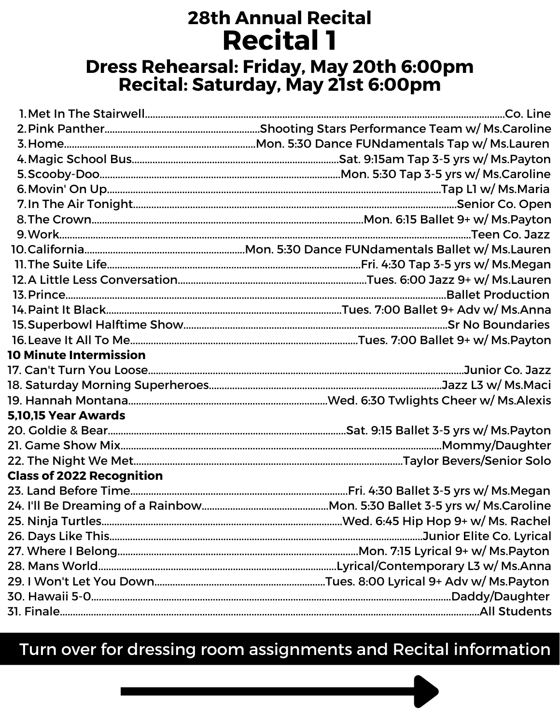# **28th Annual Recital Recital 1** Dress Rehearsal: Friday, May 20th 6:00pm<br>Recital: Saturday, May 21st 6:00pm

| <b>10 Minute Intermission</b>    |                                                                                          |
|----------------------------------|------------------------------------------------------------------------------------------|
|                                  |                                                                                          |
|                                  |                                                                                          |
|                                  |                                                                                          |
| <b>5,10,15 Year Awards</b>       |                                                                                          |
|                                  | 20. Goldie & Bear…………………………………………………………………………………………Sat. 9:15 Ballet 3-5 yrs w/ Ms.Payton |
|                                  |                                                                                          |
|                                  |                                                                                          |
| <b>Class of 2022 Recognition</b> |                                                                                          |
|                                  |                                                                                          |
|                                  | 24. I'll Be Dreaming of a Rainbow………………………………………Mon. 5:30 Ballet 3-5 yrs w/ Ms.Caroline  |
|                                  |                                                                                          |
|                                  |                                                                                          |
|                                  | 27. Where I Belong………………………………………………………………………………Mon. 7:15 Lyrical 9+ w/ Ms.Payton        |
|                                  | 28. Mans World…………………………………………………………………………………Lyrical/Contemporary L3 w/ Ms.Anna          |
|                                  |                                                                                          |
|                                  |                                                                                          |
|                                  |                                                                                          |

Turn over for dressing room assignments and Recital information